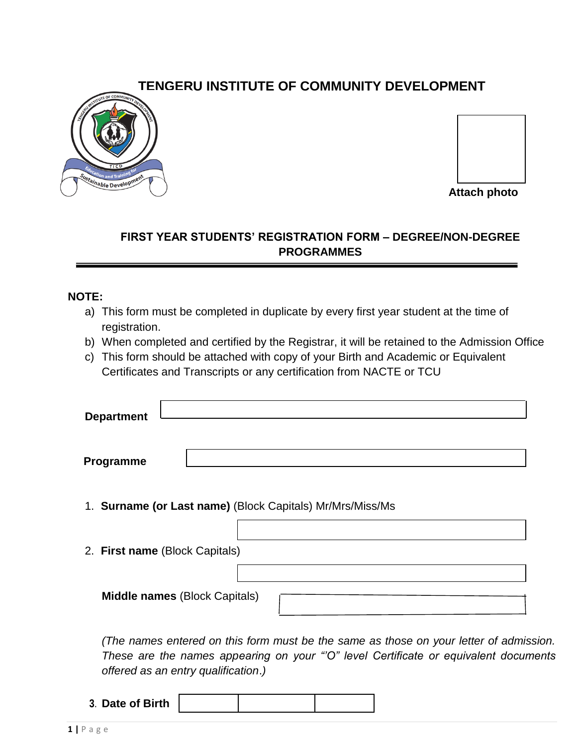# **TENGERU INSTITUTE OF COMMUNITY DEVELOPMENT**





**Attach photo**

# **FIRST YEAR STUDENTS' REGISTRATION FORM – DEGREE/NON-DEGREE PROGRAMMES**

#### **NOTE:**

- a) This form must be completed in duplicate by every first year student at the time of registration.
- b) When completed and certified by the Registrar, it will be retained to the Admission Office
- c) This form should be attached with copy of your Birth and Academic or Equivalent Certificates and Transcripts or any certification from NACTE or TCU

| <b>Department</b> |  |
|-------------------|--|
|                   |  |

**Programme**

- 1. **Surname (or Last name)** (Block Capitals) Mr/Mrs/Miss/Ms
- 2. **First name** (Block Capitals)

**Middle names** (Block Capitals)

*(The names entered on this form must be the same as those on your letter of admission. These are the names appearing on your "'O" level Certificate or equivalent documents offered as an entry qualification*.*)*

**3**. **Date of Birth**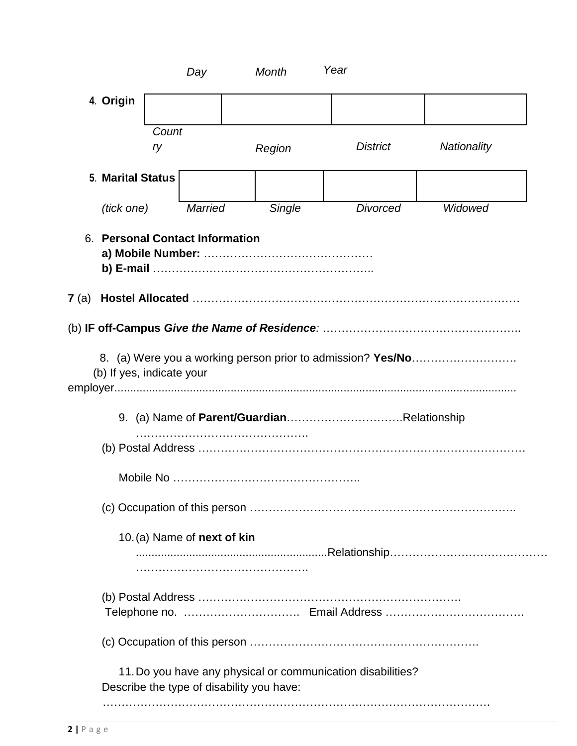|              |                           |             | Day                             | <b>Month</b>                              | Year                                                        |                    |
|--------------|---------------------------|-------------|---------------------------------|-------------------------------------------|-------------------------------------------------------------|--------------------|
|              | 4. Origin                 |             |                                 |                                           |                                                             |                    |
|              |                           |             |                                 |                                           |                                                             |                    |
|              |                           | Count<br>ry |                                 | Region                                    | <b>District</b>                                             | <b>Nationality</b> |
|              |                           |             |                                 |                                           |                                                             |                    |
|              | <b>5. Marital Status</b>  |             |                                 |                                           |                                                             |                    |
|              | (tick one)                |             | <b>Married</b>                  | Single                                    | <b>Divorced</b>                                             | Widowed            |
|              |                           |             | 6. Personal Contact Information |                                           |                                                             |                    |
| <b>7</b> (a) |                           |             |                                 |                                           |                                                             |                    |
|              |                           |             |                                 |                                           |                                                             |                    |
|              | (b) If yes, indicate your |             |                                 |                                           |                                                             |                    |
|              |                           |             |                                 |                                           |                                                             |                    |
|              |                           |             |                                 |                                           |                                                             |                    |
|              |                           |             |                                 |                                           |                                                             |                    |
|              |                           |             |                                 |                                           |                                                             |                    |
|              |                           |             | 10. (a) Name of next of kin     |                                           |                                                             |                    |
|              |                           |             |                                 |                                           |                                                             |                    |
|              |                           |             |                                 |                                           |                                                             |                    |
|              |                           |             |                                 | Describe the type of disability you have: | 11. Do you have any physical or communication disabilities? |                    |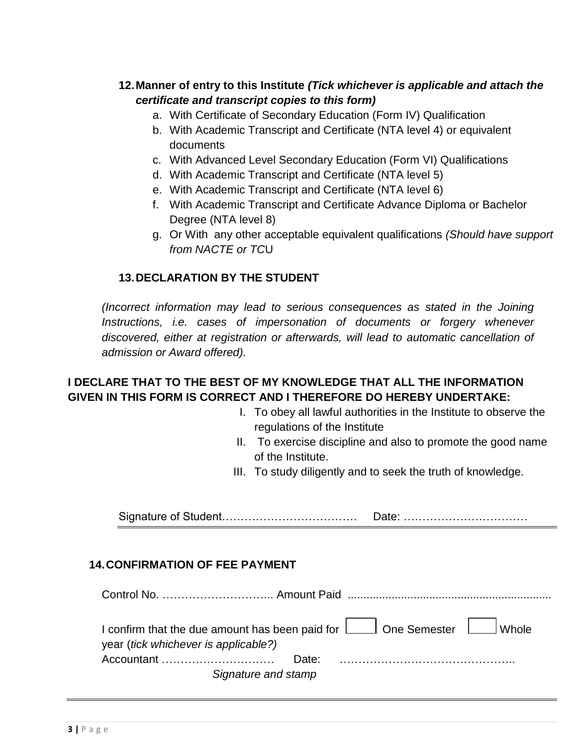### **12.Manner of entry to this Institute** *(Tick whichever is applicable and attach the certificate and transcript copies to this form)*

- a. With Certificate of Secondary Education (Form IV) Qualification
- b. With Academic Transcript and Certificate (NTA level 4) or equivalent documents
- c. With Advanced Level Secondary Education (Form VI) Qualifications
- d. With Academic Transcript and Certificate (NTA level 5)
- e. With Academic Transcript and Certificate (NTA level 6)
- f. With Academic Transcript and Certificate Advance Diploma or Bachelor Degree (NTA level 8)
- g. Or With any other acceptable equivalent qualifications *(Should have support from NACTE or TC*U

### **13.DECLARATION BY THE STUDENT**

*(Incorrect information may lead to serious consequences as stated in the Joining*  Instructions, i.e. cases of impersonation of documents or forgery whenever *discovered, either at registration or afterwards, will lead to automatic cancellation of admission or Award offered).*

### **I DECLARE THAT TO THE BEST OF MY KNOWLEDGE THAT ALL THE INFORMATION GIVEN IN THIS FORM IS CORRECT AND I THEREFORE DO HEREBY UNDERTAKE:**

- I. To obey all lawful authorities in the Institute to observe the regulations of the Institute
- II. To exercise discipline and also to promote the good name of the Institute.
- III. To study diligently and to seek the truth of knowledge.

Signature of Student……………………………… Date: ……………………………

#### **14.CONFIRMATION OF FEE PAYMENT**

| year (tick whichever is applicable?) | I confirm that the due amount has been paid for $\Box$ One Semester $\Box$ Whole |
|--------------------------------------|----------------------------------------------------------------------------------|
|                                      |                                                                                  |
|                                      | Signature and stamp                                                              |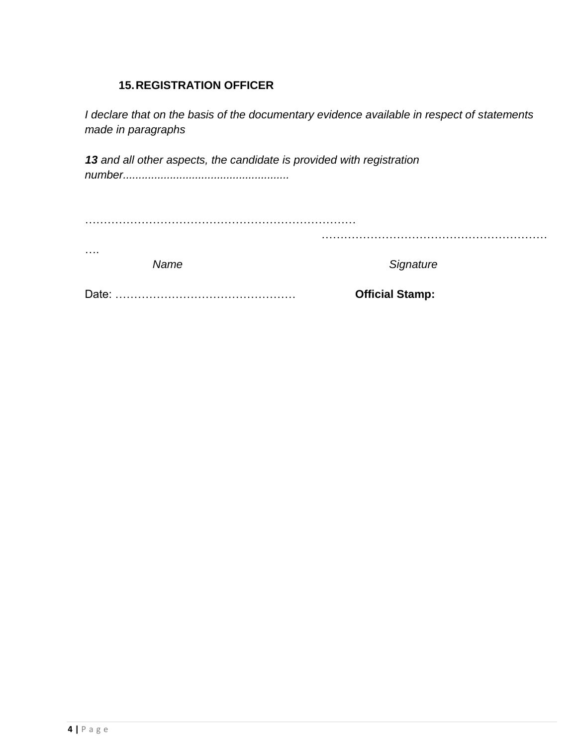# **15.REGISTRATION OFFICER**

*I declare that on the basis of the documentary evidence available in respect of statements made in paragraphs*

*13 and all other aspects, the candidate is provided with registration number.....................................................*

| . | Name | Signature |
|---|------|-----------|

Date: ………………………………………… **Official Stamp:**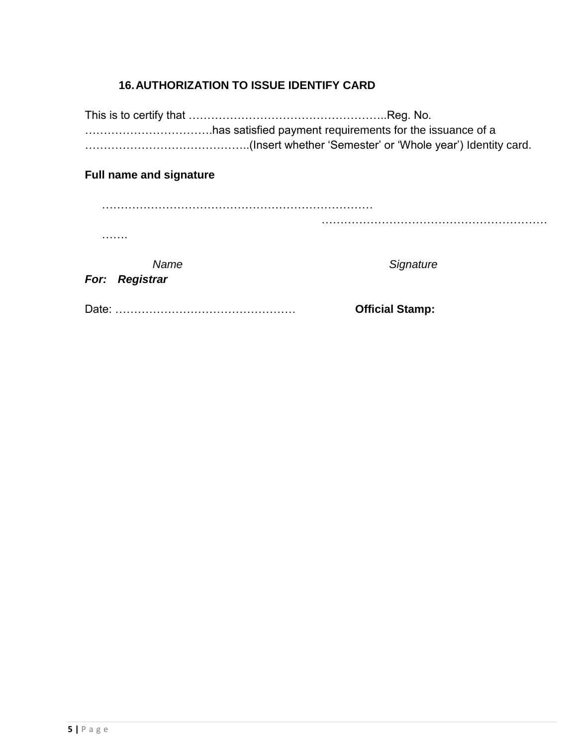# **16.AUTHORIZATION TO ISSUE IDENTIFY CARD**

This is to certify that ……………………………………………..Reg. No. …………………………….has satisfied payment requirements for the issuance of a ……………………………………..(Insert whether 'Semester' or 'Whole year') Identity card.

#### **Full name and signature**

| .              |                 |
|----------------|-----------------|
| Name           | Signature       |
| For: Registrar |                 |
| Dote:          | Official Stamp: |

Date: ………………………………………… **Official Stamp:**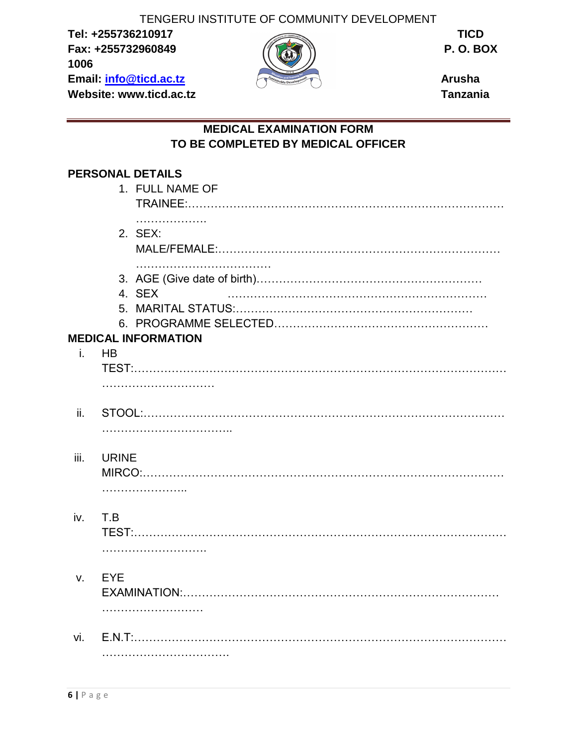TENGERU INSTITUTE OF COMMUNITY DEVELOPMENT

**Tel: +255736210917 TICD Fax: +255732960849 P. O. BOX 1006 Email: [info@ticd.ac.tz](mailto:info@ticd.ac.tz) Arusha Website: www.ticd.ac.tz Tanzania** 



## **MEDICAL EXAMINATION FORM TO BE COMPLETED BY MEDICAL OFFICER**

# **PERSONAL DETAILS**

|      |              | 1. FULL NAME OF                      |
|------|--------------|--------------------------------------|
|      |              | .<br>2. SEX:                         |
|      |              | 4. SEX<br><b>MEDICAL INFORMATION</b> |
| i.   | <b>HB</b>    |                                      |
|      |              |                                      |
|      |              |                                      |
| ii.  |              |                                      |
| iii. | <b>URINE</b> | .                                    |
| iv.  | T.B          |                                      |
| V.   | <b>EYE</b>   |                                      |
| vi.  |              |                                      |